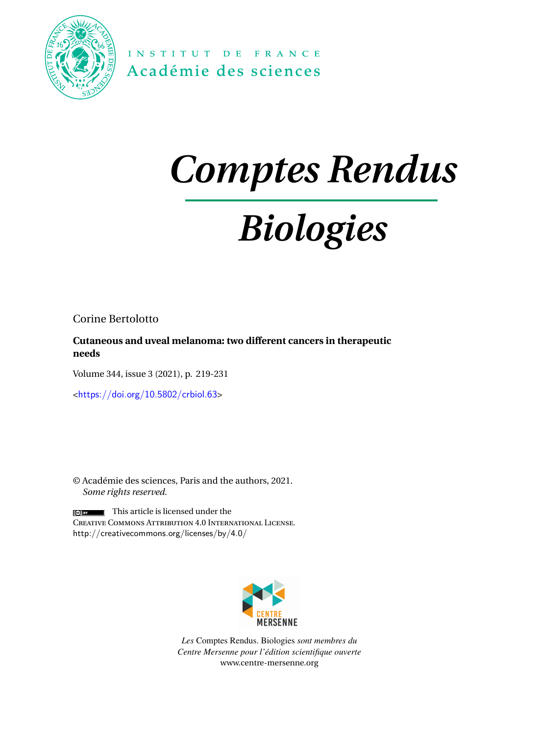

INSTITUT DE FRANCE Académie des sciences

## *Comptes Rendus*

# *Biologies*

Corine Bertolotto

**Cutaneous and uveal melanoma: two different cancers in therapeutic needs**

Volume 344, issue 3 (2021), p. 219-231

<<https://doi.org/10.5802/crbiol.63>>

© Académie des sciences, Paris and the authors, 2021. *Some rights reserved.*

 $\sqrt{\frac{1}{2} \cdot \frac{1}{2}}$  This article is licensed under the Creative Commons Attribution 4.0 International License. <http://creativecommons.org/licenses/by/4.0/>



*Les* Comptes Rendus. Biologies *sont membres du Centre Mersenne pour l'édition scientifique ouverte* [www.centre-mersenne.org](https://www.centre-mersenne.org)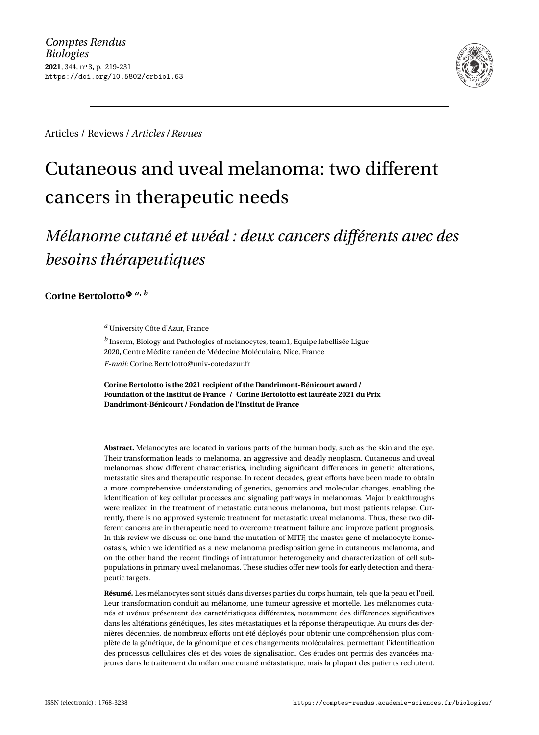

Articles / Reviews / *Articles / Revues*

### Cutaneous and uveal melanoma: two different cancers in therapeutic needs

### *Mélanome cutané et uvéal : deux cancers différents avec des besoins thérapeutiques*

**Corine Bertolott[o](https://orcid.org/0000-0001-6971-7753)** *<sup>a</sup>***,** *<sup>b</sup>*

*<sup>a</sup>* University Côte d'Azur, France

*b* Inserm, Biology and Pathologies of melanocytes, team1, Equipe labellisée Ligue 2020, Centre Méditerranéen de Médecine Moléculaire, Nice, France *E-mail:* [Corine.Bertolotto@univ-cotedazur.fr](mailto:Corine.Bertolotto@univ-cotedazur.fr)

**Corine Bertolotto is the 2021 recipient of the Dandrimont-Bénicourt award / Foundation of the Institut de France / Corine Bertolotto est lauréate 2021 du Prix Dandrimont-Bénicourt / Fondation de l'Institut de France**

**Abstract.** Melanocytes are located in various parts of the human body, such as the skin and the eye. Their transformation leads to melanoma, an aggressive and deadly neoplasm. Cutaneous and uveal melanomas show different characteristics, including significant differences in genetic alterations, metastatic sites and therapeutic response. In recent decades, great efforts have been made to obtain a more comprehensive understanding of genetics, genomics and molecular changes, enabling the identification of key cellular processes and signaling pathways in melanomas. Major breakthroughs were realized in the treatment of metastatic cutaneous melanoma, but most patients relapse. Currently, there is no approved systemic treatment for metastatic uveal melanoma. Thus, these two different cancers are in therapeutic need to overcome treatment failure and improve patient prognosis. In this review we discuss on one hand the mutation of MITF, the master gene of melanocyte homeostasis, which we identified as a new melanoma predisposition gene in cutaneous melanoma, and on the other hand the recent findings of intratumor heterogeneity and characterization of cell subpopulations in primary uveal melanomas. These studies offer new tools for early detection and therapeutic targets.

**Résumé.** Les mélanocytes sont situés dans diverses parties du corps humain, tels que la peau et l'oeil. Leur transformation conduit au mélanome, une tumeur agressive et mortelle. Les mélanomes cutanés et uvéaux présentent des caractéristiques différentes, notamment des différences significatives dans les altérations génétiques, les sites métastatiques et la réponse thérapeutique. Au cours des dernières décennies, de nombreux efforts ont été déployés pour obtenir une compréhension plus complète de la génétique, de la génomique et des changements moléculaires, permettant l'identification des processus cellulaires clés et des voies de signalisation. Ces études ont permis des avancées majeures dans le traitement du mélanome cutané métastatique, mais la plupart des patients rechutent.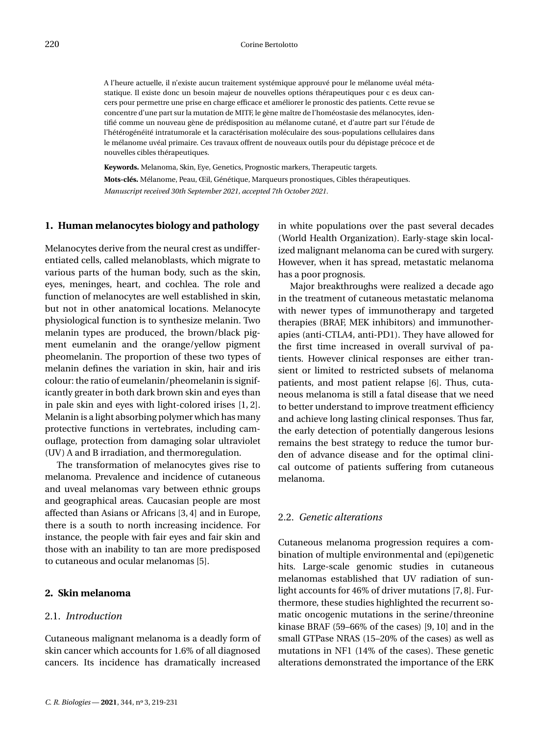A l'heure actuelle, il n'existe aucun traitement systémique approuvé pour le mélanome uvéal métastatique. Il existe donc un besoin majeur de nouvelles options thérapeutiques pour c es deux cancers pour permettre une prise en charge efficace et améliorer le pronostic des patients. Cette revue se concentre d'une part sur la mutation de MITF, le gène maître de l'homéostasie des mélanocytes, identifié comme un nouveau gène de prédisposition au mélanome cutané, et d'autre part sur l'étude de l'hétérogénéité intratumorale et la caractérisation moléculaire des sous-populations cellulaires dans le mélanome uvéal primaire. Ces travaux offrent de nouveaux outils pour du dépistage précoce et de nouvelles cibles thérapeutiques.

**Keywords.** Melanoma, Skin, Eye, Genetics, Prognostic markers, Therapeutic targets. **Mots-clés.** Mélanome, Peau, Œil, Génétique, Marqueurs pronostiques, Cibles thérapeutiques. *Manuscript received 30th September 2021, accepted 7th October 2021.*

#### **1. Human melanocytes biology and pathology**

Melanocytes derive from the neural crest as undifferentiated cells, called melanoblasts, which migrate to various parts of the human body, such as the skin, eyes, meninges, heart, and cochlea. The role and function of melanocytes are well established in skin, but not in other anatomical locations. Melanocyte physiological function is to synthesize melanin. Two melanin types are produced, the brown/black pigment eumelanin and the orange/yellow pigment pheomelanin. The proportion of these two types of melanin defines the variation in skin, hair and iris colour: the ratio of eumelanin/pheomelanin is significantly greater in both dark brown skin and eyes than in pale skin and eyes with light-colored irises [\[1,](#page-12-0) [2\]](#page-12-1). Melanin is a light absorbing polymer which has many protective functions in vertebrates, including camouflage, protection from damaging solar ultraviolet (UV) A and B irradiation, and thermoregulation.

The transformation of melanocytes gives rise to melanoma. Prevalence and incidence of cutaneous and uveal melanomas vary between ethnic groups and geographical areas. Caucasian people are most affected than Asians or Africans [\[3,](#page-12-2) [4\]](#page-12-3) and in Europe, there is a south to north increasing incidence. For instance, the people with fair eyes and fair skin and those with an inability to tan are more predisposed to cutaneous and ocular melanomas [\[5\]](#page-12-4).

#### **2. Skin melanoma**

#### 2.1. *Introduction*

Cutaneous malignant melanoma is a deadly form of skin cancer which accounts for 1.6% of all diagnosed cancers. Its incidence has dramatically increased in white populations over the past several decades (World Health Organization). Early-stage skin localized malignant melanoma can be cured with surgery. However, when it has spread, metastatic melanoma has a poor prognosis.

Major breakthroughs were realized a decade ago in the treatment of cutaneous metastatic melanoma with newer types of immunotherapy and targeted therapies (BRAF, MEK inhibitors) and immunotherapies (anti-CTLA4, anti-PD1). They have allowed for the first time increased in overall survival of patients. However clinical responses are either transient or limited to restricted subsets of melanoma patients, and most patient relapse [\[6\]](#page-12-5). Thus, cutaneous melanoma is still a fatal disease that we need to better understand to improve treatment efficiency and achieve long lasting clinical responses. Thus far, the early detection of potentially dangerous lesions remains the best strategy to reduce the tumor burden of advance disease and for the optimal clinical outcome of patients suffering from cutaneous melanoma.

#### 2.2. *Genetic alterations*

Cutaneous melanoma progression requires a combination of multiple environmental and (epi)genetic hits. Large-scale genomic studies in cutaneous melanomas established that UV radiation of sunlight accounts for 46% of driver mutations [\[7,](#page-12-6)[8\]](#page-12-7). Furthermore, these studies highlighted the recurrent somatic oncogenic mutations in the serine/threonine kinase BRAF (59–66% of the cases) [\[9,](#page-12-8) [10\]](#page-12-9) and in the small GTPase NRAS (15–20% of the cases) as well as mutations in NF1 (14% of the cases). These genetic alterations demonstrated the importance of the ERK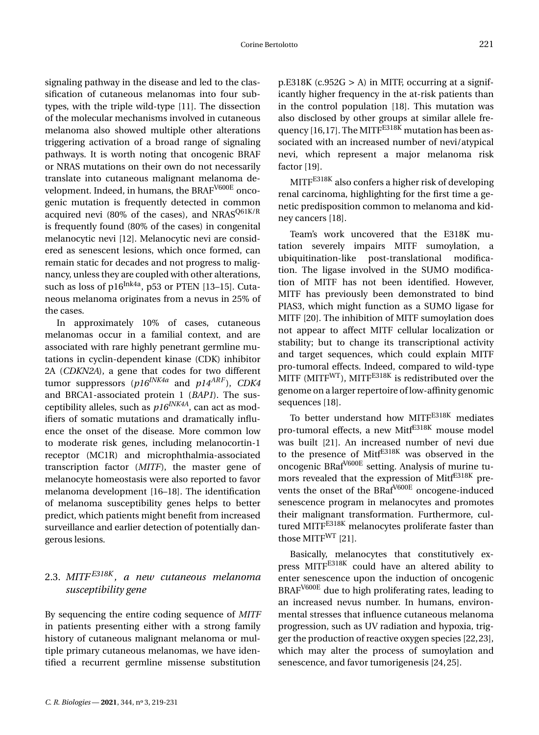signaling pathway in the disease and led to the classification of cutaneous melanomas into four subtypes, with the triple wild-type [\[11\]](#page-12-10). The dissection of the molecular mechanisms involved in cutaneous melanoma also showed multiple other alterations triggering activation of a broad range of signaling pathways. It is worth noting that oncogenic BRAF or NRAS mutations on their own do not necessarily translate into cutaneous malignant melanoma development. Indeed, in humans, the BRAF<sup>V600E</sup> oncogenic mutation is frequently detected in common acquired nevi (80% of the cases), and NRAS $Q61K/R$ is frequently found (80% of the cases) in congenital melanocytic nevi [\[12\]](#page-12-11). Melanocytic nevi are considered as senescent lesions, which once formed, can remain static for decades and not progress to malignancy, unless they are coupled with other alterations, such as loss of p16Ink4a, p53 or PTEN [\[13](#page-12-12)-15]. Cutaneous melanoma originates from a nevus in 25% of the cases.

In approximately 10% of cases, cutaneous melanomas occur in a familial context, and are associated with rare highly penetrant germline mutations in cyclin-dependent kinase (CDK) inhibitor 2A (*CDKN2A*), a gene that codes for two different tumor suppressors (*p16INK4a* and *p14ARF* ), *CDK4* and BRCA1-associated protein 1 (*BAP1*). The susceptibility alleles, such as *p16INK4A*, can act as modifiers of somatic mutations and dramatically influence the onset of the disease. More common low to moderate risk genes, including melanocortin-1 receptor (MC1R) and microphthalmia-associated transcription factor (*MITF*), the master gene of melanocyte homeostasis were also reported to favor melanoma development [\[16–](#page-12-14)[18\]](#page-12-15). The identification of melanoma susceptibility genes helps to better predict, which patients might benefit from increased surveillance and earlier detection of potentially dangerous lesions.

#### 2.3. *MITF E318K , a new cutaneous melanoma susceptibility gene*

By sequencing the entire coding sequence of *MITF* in patients presenting either with a strong family history of cutaneous malignant melanoma or multiple primary cutaneous melanomas, we have identified a recurrent germline missense substitution  $p.E318K (c.952G > A)$  in MITF, occurring at a significantly higher frequency in the at-risk patients than in the control population [\[18\]](#page-12-15). This mutation was also disclosed by other groups at similar allele fre-quency [\[16,](#page-12-14)[17\]](#page-12-16). The MITF<sup>E318 $\tilde{k}$ </sup> mutation has been associated with an increased number of nevi/atypical nevi, which represent a major melanoma risk factor [\[19\]](#page-12-17).

MITFE318K also confers a higher risk of developing renal carcinoma, highlighting for the first time a genetic predisposition common to melanoma and kidney cancers [\[18\]](#page-12-15).

Team's work uncovered that the E318K mutation severely impairs MITF sumoylation, a ubiquitination-like post-translational modification. The ligase involved in the SUMO modification of MITF has not been identified. However, MITF has previously been demonstrated to bind PIAS3, which might function as a SUMO ligase for MITF [\[20\]](#page-12-18). The inhibition of MITF sumoylation does not appear to affect MITF cellular localization or stability; but to change its transcriptional activity and target sequences, which could explain MITF pro-tumoral effects. Indeed, compared to wild-type MITF (MITF $WT$ ), MITF $E318K$  is redistributed over the genome on a larger repertoire of low-affinity genomic sequences [\[18\]](#page-12-15).

To better understand how MITFE318K mediates pro-tumoral effects, a new Mitf<sup>E318K</sup> mouse model was built [\[21\]](#page-12-19). An increased number of nevi due to the presence of Mitf<sup>E318K</sup> was observed in the oncogenic BRafV600E setting. Analysis of murine tumors revealed that the expression of MitfE318K prevents the onset of the BRaf<sup>V600E</sup> oncogene-induced senescence program in melanocytes and promotes their malignant transformation. Furthermore, cultured MITF<sup>E318K</sup> melanocytes proliferate faster than those MITF $^{WT}$  [\[21\]](#page-12-19).

Basically, melanocytes that constitutively express MITF<sup>E318K</sup> could have an altered ability to enter senescence upon the induction of oncogenic BRAF<sup>V600E</sup> due to high proliferating rates, leading to an increased nevus number. In humans, environmental stresses that influence cutaneous melanoma progression, such as UV radiation and hypoxia, trigger the production of reactive oxygen species [\[22,](#page-12-20)[23\]](#page-12-21), which may alter the process of sumoylation and senescence, and favor tumorigenesis [\[24,](#page-12-22)[25\]](#page-12-23).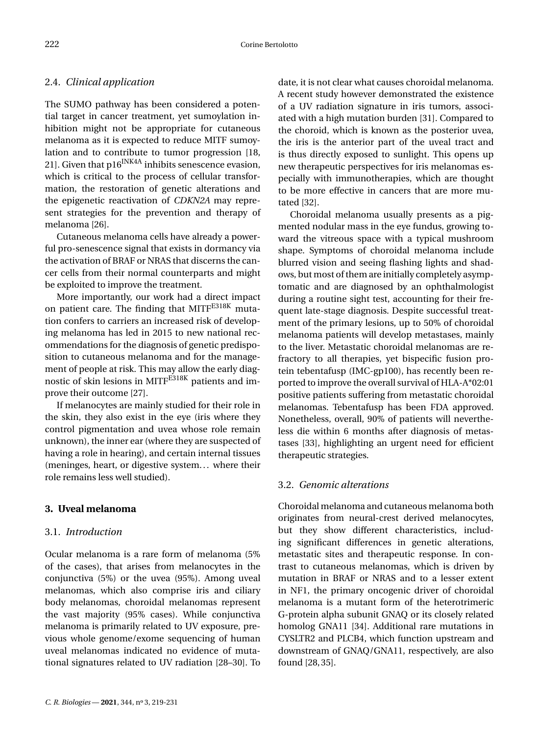#### 2.4. *Clinical application*

The SUMO pathway has been considered a potential target in cancer treatment, yet sumoylation inhibition might not be appropriate for cutaneous melanoma as it is expected to reduce MITF sumoylation and to contribute to tumor progression [\[18,](#page-12-15) [21\]](#page-12-19). Given that  $p16^{INK4A}$  inhibits senescence evasion, which is critical to the process of cellular transformation, the restoration of genetic alterations and the epigenetic reactivation of *CDKN2A* may represent strategies for the prevention and therapy of melanoma [\[26\]](#page-12-24).

Cutaneous melanoma cells have already a powerful pro-senescence signal that exists in dormancy via the activation of BRAF or NRAS that discerns the cancer cells from their normal counterparts and might be exploited to improve the treatment.

More importantly, our work had a direct impact on patient care. The finding that MITFE318K mutation confers to carriers an increased risk of developing melanoma has led in 2015 to new national recommendations for the diagnosis of genetic predisposition to cutaneous melanoma and for the management of people at risk. This may allow the early diagnostic of skin lesions in MITFE318K patients and improve their outcome [\[27\]](#page-12-25).

If melanocytes are mainly studied for their role in the skin, they also exist in the eye (iris where they control pigmentation and uvea whose role remain unknown), the inner ear (where they are suspected of having a role in hearing), and certain internal tissues (meninges, heart, or digestive system. . . where their role remains less well studied).

#### **3. Uveal melanoma**

#### 3.1. *Introduction*

Ocular melanoma is a rare form of melanoma (5% of the cases), that arises from melanocytes in the conjunctiva (5%) or the uvea (95%). Among uveal melanomas, which also comprise iris and ciliary body melanomas, choroidal melanomas represent the vast majority (95% cases). While conjunctiva melanoma is primarily related to UV exposure, previous whole genome/exome sequencing of human uveal melanomas indicated no evidence of mutational signatures related to UV radiation [\[28](#page-12-26)[–30\]](#page-13-0). To date, it is not clear what causes choroidal melanoma. A recent study however demonstrated the existence of a UV radiation signature in iris tumors, associated with a high mutation burden [\[31\]](#page-13-1). Compared to the choroid, which is known as the posterior uvea, the iris is the anterior part of the uveal tract and is thus directly exposed to sunlight. This opens up new therapeutic perspectives for iris melanomas especially with immunotherapies, which are thought to be more effective in cancers that are more mutated [\[32\]](#page-13-2).

Choroidal melanoma usually presents as a pigmented nodular mass in the eye fundus, growing toward the vitreous space with a typical mushroom shape. Symptoms of choroidal melanoma include blurred vision and seeing flashing lights and shadows, but most of them are initially completely asymptomatic and are diagnosed by an ophthalmologist during a routine sight test, accounting for their frequent late-stage diagnosis. Despite successful treatment of the primary lesions, up to 50% of choroidal melanoma patients will develop metastases, mainly to the liver. Metastatic choroidal melanomas are refractory to all therapies, yet bispecific fusion protein tebentafusp (IMC-gp100), has recently been reported to improve the overall survival of HLA-A\*02:01 positive patients suffering from metastatic choroidal melanomas. Tebentafusp has been FDA approved. Nonetheless, overall, 90% of patients will nevertheless die within 6 months after diagnosis of metastases [\[33\]](#page-13-3), highlighting an urgent need for efficient therapeutic strategies.

#### 3.2. *Genomic alterations*

Choroidal melanoma and cutaneous melanoma both originates from neural-crest derived melanocytes, but they show different characteristics, including significant differences in genetic alterations, metastatic sites and therapeutic response. In contrast to cutaneous melanomas, which is driven by mutation in BRAF or NRAS and to a lesser extent in NF1, the primary oncogenic driver of choroidal melanoma is a mutant form of the heterotrimeric G-protein alpha subunit GNAQ or its closely related homolog GNA11 [\[34\]](#page-13-4). Additional rare mutations in CYSLTR2 and PLCB4, which function upstream and downstream of GNAQ/GNA11, respectively, are also found [\[28,](#page-12-26)[35\]](#page-13-5).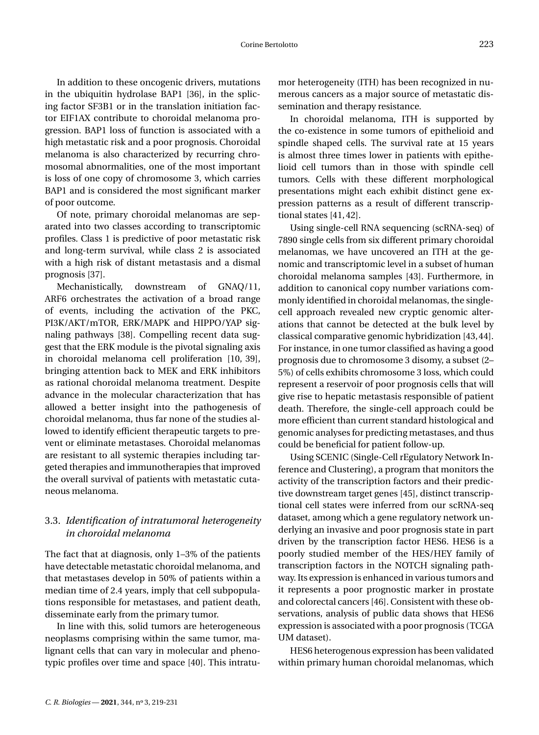In addition to these oncogenic drivers, mutations in the ubiquitin hydrolase BAP1 [\[36\]](#page-13-6), in the splicing factor SF3B1 or in the translation initiation factor EIF1AX contribute to choroidal melanoma progression. BAP1 loss of function is associated with a high metastatic risk and a poor prognosis. Choroidal melanoma is also characterized by recurring chromosomal abnormalities, one of the most important is loss of one copy of chromosome 3, which carries BAP1 and is considered the most significant marker of poor outcome.

Of note, primary choroidal melanomas are separated into two classes according to transcriptomic profiles. Class 1 is predictive of poor metastatic risk and long-term survival, while class 2 is associated with a high risk of distant metastasis and a dismal prognosis [\[37\]](#page-13-7).

Mechanistically, downstream of GNAQ/11, ARF6 orchestrates the activation of a broad range of events, including the activation of the PKC, PI3K/AKT/mTOR, ERK/MAPK and HIPPO/YAP signaling pathways [\[38\]](#page-13-8). Compelling recent data suggest that the ERK module is the pivotal signaling axis in choroidal melanoma cell proliferation [\[10,](#page-12-9) [39\]](#page-13-9), bringing attention back to MEK and ERK inhibitors as rational choroidal melanoma treatment. Despite advance in the molecular characterization that has allowed a better insight into the pathogenesis of choroidal melanoma, thus far none of the studies allowed to identify efficient therapeutic targets to prevent or eliminate metastases. Choroidal melanomas are resistant to all systemic therapies including targeted therapies and immunotherapies that improved the overall survival of patients with metastatic cutaneous melanoma.

#### 3.3. *Identification of intratumoral heterogeneity in choroidal melanoma*

The fact that at diagnosis, only 1–3% of the patients have detectable metastatic choroidal melanoma, and that metastases develop in 50% of patients within a median time of 2.4 years, imply that cell subpopulations responsible for metastases, and patient death, disseminate early from the primary tumor.

In line with this, solid tumors are heterogeneous neoplasms comprising within the same tumor, malignant cells that can vary in molecular and phenotypic profiles over time and space [\[40\]](#page-13-10). This intratumor heterogeneity (ITH) has been recognized in numerous cancers as a major source of metastatic dissemination and therapy resistance.

In choroidal melanoma, ITH is supported by the co-existence in some tumors of epithelioid and spindle shaped cells. The survival rate at 15 years is almost three times lower in patients with epithelioid cell tumors than in those with spindle cell tumors. Cells with these different morphological presentations might each exhibit distinct gene expression patterns as a result of different transcriptional states [\[41,](#page-13-11)[42\]](#page-13-12).

Using single-cell RNA sequencing (scRNA-seq) of 7890 single cells from six different primary choroidal melanomas, we have uncovered an ITH at the genomic and transcriptomic level in a subset of human choroidal melanoma samples [\[43\]](#page-13-13). Furthermore, in addition to canonical copy number variations commonly identified in choroidal melanomas, the singlecell approach revealed new cryptic genomic alterations that cannot be detected at the bulk level by classical comparative genomic hybridization [\[43,](#page-13-13)[44\]](#page-13-14). For instance, in one tumor classified as having a good prognosis due to chromosome 3 disomy, a subset (2– 5%) of cells exhibits chromosome 3 loss, which could represent a reservoir of poor prognosis cells that will give rise to hepatic metastasis responsible of patient death. Therefore, the single-cell approach could be more efficient than current standard histological and genomic analyses for predicting metastases, and thus could be beneficial for patient follow-up.

Using SCENIC (Single-Cell rEgulatory Network Inference and Clustering), a program that monitors the activity of the transcription factors and their predictive downstream target genes [\[45\]](#page-13-15), distinct transcriptional cell states were inferred from our scRNA-seq dataset, among which a gene regulatory network underlying an invasive and poor prognosis state in part driven by the transcription factor HES6. HES6 is a poorly studied member of the HES/HEY family of transcription factors in the NOTCH signaling pathway. Its expression is enhanced in various tumors and it represents a poor prognostic marker in prostate and colorectal cancers [\[46\]](#page-13-16). Consistent with these observations, analysis of public data shows that HES6 expression is associated with a poor prognosis (TCGA UM dataset).

HES6 heterogenous expression has been validated within primary human choroidal melanomas, which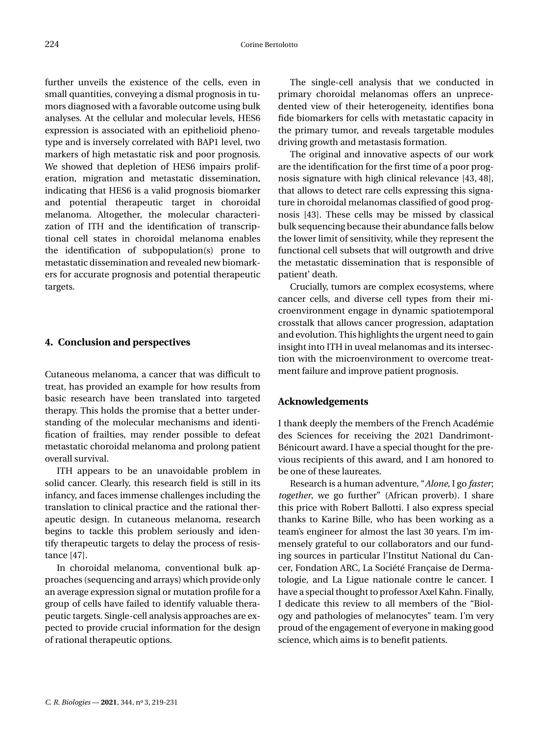further unveils the existence of the cells, even in small quantities, conveying a dismal prognosis in tumors diagnosed with a favorable outcome using bulk analyses. At the cellular and molecular levels, HES6 expression is associated with an epithelioid phenotype and is inversely correlated with BAP1 level, two markers of high metastatic risk and poor prognosis. We showed that depletion of HES6 impairs proliferation, migration and metastatic dissemination, indicating that HES6 is a valid prognosis biomarker and potential therapeutic target in choroidal melanoma. Altogether, the molecular characterization of ITH and the identification of transcriptional cell states in choroidal melanoma enables the identification of subpopulation(s) prone to metastatic dissemination and revealed new biomarkers for accurate prognosis and potential therapeutic targets.

#### **4. Conclusion and perspectives**

Cutaneous melanoma, a cancer that was difficult to treat, has provided an example for how results from basic research have been translated into targeted therapy. This holds the promise that a better understanding of the molecular mechanisms and identification of frailties, may render possible to defeat metastatic choroidal melanoma and prolong patient overall survival.

ITH appears to be an unavoidable problem in solid cancer. Clearly, this research field is still in its infancy, and faces immense challenges including the translation to clinical practice and the rational therapeutic design. In cutaneous melanoma, research begins to tackle this problem seriously and identify therapeutic targets to delay the process of resistance [\[47\]](#page-13-17).

In choroidal melanoma, conventional bulk approaches (sequencing and arrays) which provide only an average expression signal or mutation profile for a group of cells have failed to identify valuable therapeutic targets. Single-cell analysis approaches are expected to provide crucial information for the design of rational therapeutic options.

The single-cell analysis that we conducted in primary choroidal melanomas offers an unprecedented view of their heterogeneity, identifies bona fide biomarkers for cells with metastatic capacity in the primary tumor, and reveals targetable modules driving growth and metastasis formation.

The original and innovative aspects of our work are the identification for the first time of a poor prognosis signature with high clinical relevance [\[43,](#page-13-13) [48\]](#page-13-18), that allows to detect rare cells expressing this signature in choroidal melanomas classified of good prognosis [\[43\]](#page-13-13). These cells may be missed by classical bulk sequencing because their abundance falls below the lower limit of sensitivity, while they represent the functional cell subsets that will outgrowth and drive the metastatic dissemination that is responsible of patient' death.

Crucially, tumors are complex ecosystems, where cancer cells, and diverse cell types from their microenvironment engage in dynamic spatiotemporal crosstalk that allows cancer progression, adaptation and evolution. This highlights the urgent need to gain insight into ITH in uveal melanomas and its intersection with the microenvironment to overcome treatment failure and improve patient prognosis.

#### **Acknowledgements**

I thank deeply the members of the French Académie des Sciences for receiving the 2021 Dandrimont-Bénicourt award. I have a special thought for the previous recipients of this award, and I am honored to be one of these laureates.

Research is a human adventure, "*Alone*, I go *faster*; *together*, we go further" (African proverb). I share this price with Robert Ballotti. I also express special thanks to Karine Bille, who has been working as a team's engineer for almost the last 30 years. I'm immensely grateful to our collaborators and our funding sources in particular l'Institut National du Cancer, Fondation ARC, La Société Française de Dermatologie, and La Ligue nationale contre le cancer. I have a special thought to professor Axel Kahn. Finally, I dedicate this review to all members of the "Biology and pathologies of melanocytes" team. I'm very proud of the engagement of everyone in making good science, which aims is to benefit patients.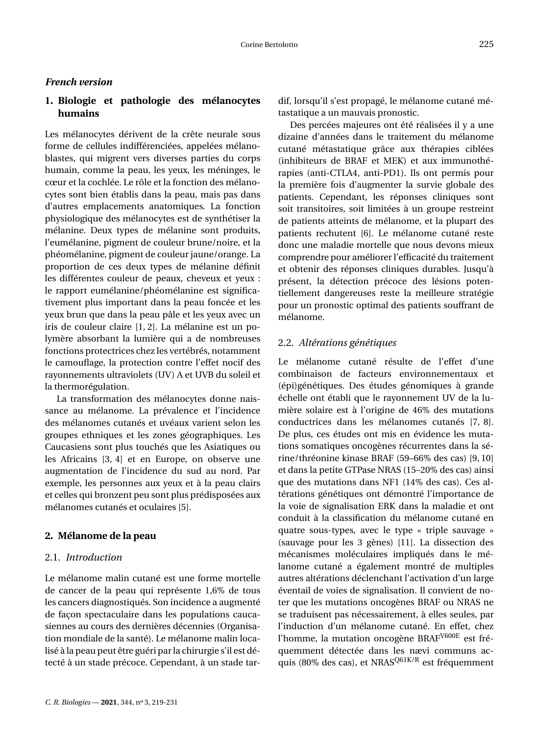#### *French version*

#### **1. Biologie et pathologie des mélanocytes humains**

Les mélanocytes dérivent de la crête neurale sous forme de cellules indifférenciées, appelées mélanoblastes, qui migrent vers diverses parties du corps humain, comme la peau, les yeux, les méninges, le cœur et la cochlée. Le rôle et la fonction des mélanocytes sont bien établis dans la peau, mais pas dans d'autres emplacements anatomiques. La fonction physiologique des mélanocytes est de synthétiser la mélanine. Deux types de mélanine sont produits, l'eumélanine, pigment de couleur brune/noire, et la phéomélanine, pigment de couleur jaune/orange. La proportion de ces deux types de mélanine définit les différentes couleur de peaux, cheveux et yeux : le rapport eumélanine/phéomélanine est significativement plus important dans la peau foncée et les yeux brun que dans la peau pâle et les yeux avec un iris de couleur claire [\[1,](#page-12-0) [2\]](#page-12-1). La mélanine est un polymère absorbant la lumière qui a de nombreuses fonctions protectrices chez les vertébrés, notamment le camouflage, la protection contre l'effet nocif des rayonnements ultraviolets (UV) A et UVB du soleil et la thermorégulation.

La transformation des mélanocytes donne naissance au mélanome. La prévalence et l'incidence des mélanomes cutanés et uvéaux varient selon les groupes ethniques et les zones géographiques. Les Caucasiens sont plus touchés que les Asiatiques ou les Africains [\[3,](#page-12-2) [4\]](#page-12-3) et en Europe, on observe une augmentation de l'incidence du sud au nord. Par exemple, les personnes aux yeux et à la peau clairs et celles qui bronzent peu sont plus prédisposées aux mélanomes cutanés et oculaires [\[5\]](#page-12-4).

#### **2. Mélanome de la peau**

#### 2.1. *Introduction*

Le mélanome malin cutané est une forme mortelle de cancer de la peau qui représente 1,6% de tous les cancers diagnostiqués. Son incidence a augmenté de façon spectaculaire dans les populations caucasiennes au cours des dernières décennies (Organisation mondiale de la santé). Le mélanome malin localisé à la peau peut être guéri par la chirurgie s'il est détecté à un stade précoce. Cependant, à un stade tardif, lorsqu'il s'est propagé, le mélanome cutané métastatique a un mauvais pronostic.

Des percées majeures ont été réalisées il y a une dizaine d'années dans le traitement du mélanome cutané métastatique grâce aux thérapies ciblées (inhibiteurs de BRAF et MEK) et aux immunothérapies (anti-CTLA4, anti-PD1). Ils ont permis pour la première fois d'augmenter la survie globale des patients. Cependant, les réponses cliniques sont soit transitoires, soit limitées à un groupe restreint de patients atteints de mélanome, et la plupart des patients rechutent [\[6\]](#page-12-5). Le mélanome cutané reste donc une maladie mortelle que nous devons mieux comprendre pour améliorer l'efficacité du traitement et obtenir des réponses cliniques durables. Jusqu'à présent, la détection précoce des lésions potentiellement dangereuses reste la meilleure stratégie pour un pronostic optimal des patients souffrant de mélanome.

#### 2.2. *Altérations génétiques*

Le mélanome cutané résulte de l'effet d'une combinaison de facteurs environnementaux et (épi)génétiques. Des études génomiques à grande échelle ont établi que le rayonnement UV de la lumière solaire est à l'origine de 46% des mutations conductrices dans les mélanomes cutanés [\[7,](#page-12-6) [8\]](#page-12-7). De plus, ces études ont mis en évidence les mutations somatiques oncogènes récurrentes dans la sérine/thréonine kinase BRAF (59–66% des cas) [\[9,](#page-12-8) [10\]](#page-12-9) et dans la petite GTPase NRAS (15–20% des cas) ainsi que des mutations dans NF1 (14% des cas). Ces altérations génétiques ont démontré l'importance de la voie de signalisation ERK dans la maladie et ont conduit à la classification du mélanome cutané en quatre sous-types, avec le type « triple sauvage » (sauvage pour les 3 gènes) [\[11\]](#page-12-10). La dissection des mécanismes moléculaires impliqués dans le mélanome cutané a également montré de multiples autres altérations déclenchant l'activation d'un large éventail de voies de signalisation. Il convient de noter que les mutations oncogènes BRAF ou NRAS ne se traduisent pas nécessairement, à elles seules, par l'induction d'un mélanome cutané. En effet, chez l'homme, la mutation oncogène BRAF<sup>V600E</sup> est fréquemment détectée dans les nævi communs acquis (80% des cas), et NRAS<sup>Q61K/R</sup> est fréquemment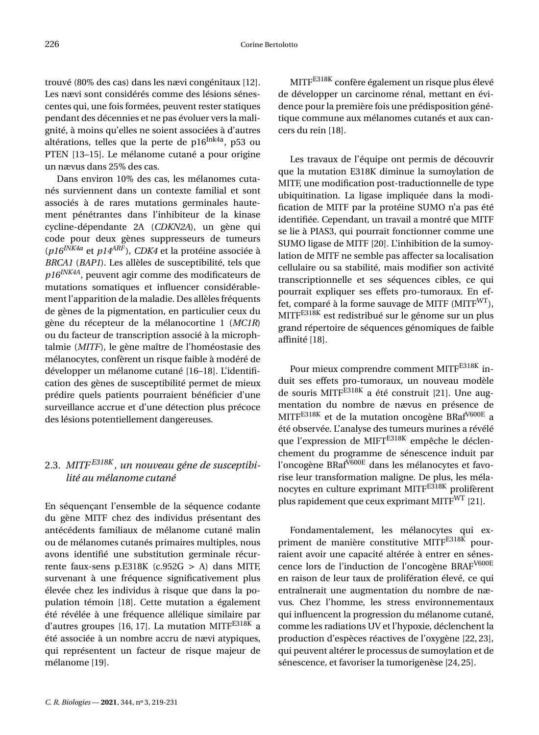trouvé (80% des cas) dans les nævi congénitaux [\[12\]](#page-12-11). Les nævi sont considérés comme des lésions sénescentes qui, une fois formées, peuvent rester statiques pendant des décennies et ne pas évoluer vers la malignité, à moins qu'elles ne soient associées à d'autres altérations, telles que la perte de  $p16$ <sup>Ink4a</sup>, p53 ou PTEN [\[13](#page-12-12)[–15\]](#page-12-13). Le mélanome cutané a pour origine un nævus dans 25% des cas.

Dans environ 10% des cas, les mélanomes cutanés surviennent dans un contexte familial et sont associés à de rares mutations germinales hautement pénétrantes dans l'inhibiteur de la kinase cycline-dépendante 2A (*CDKN2A*), un gène qui code pour deux gènes suppresseurs de tumeurs (*p16INK4a* et *p14ARF* ), *CDK4* et la protéine associée à *BRCA1* (*BAP1*). Les allèles de susceptibilité, tels que *p16INK4A*, peuvent agir comme des modificateurs de mutations somatiques et influencer considérablement l'apparition de la maladie. Des allèles fréquents de gènes de la pigmentation, en particulier ceux du gène du récepteur de la mélanocortine 1 (*MC1R*) ou du facteur de transcription associé à la microphtalmie (*MITF*), le gène maître de l'homéostasie des mélanocytes, confèrent un risque faible à modéré de développer un mélanome cutané [\[16](#page-12-14)[–18\]](#page-12-15). L'identification des gènes de susceptibilité permet de mieux prédire quels patients pourraient bénéficier d'une surveillance accrue et d'une détection plus précoce des lésions potentiellement dangereuses.

#### 2.3. *MITF E318K , un nouveau géne de susceptibilité au mélanome cutané*

En séquençant l'ensemble de la séquence codante du gène MITF chez des individus présentant des antécédents familiaux de mélanome cutané malin ou de mélanomes cutanés primaires multiples, nous avons identifié une substitution germinale récurrente faux-sens p.E318K (c.952G > A) dans MITF, survenant à une fréquence significativement plus élevée chez les individus à risque que dans la population témoin [\[18\]](#page-12-15). Cette mutation a également été révélée à une fréquence allélique similaire par d'autres groupes [\[16,](#page-12-14) [17\]](#page-12-16). La mutation MITF $E318K$  a été associée à un nombre accru de nævi atypiques, qui représentent un facteur de risque majeur de mélanome [\[19\]](#page-12-17).

MITFE318K confère également un risque plus élevé de développer un carcinome rénal, mettant en évidence pour la première fois une prédisposition génétique commune aux mélanomes cutanés et aux cancers du rein [\[18\]](#page-12-15).

Les travaux de l'équipe ont permis de découvrir que la mutation E318K diminue la sumoylation de MITF, une modification post-traductionnelle de type ubiquitination. La ligase impliquée dans la modification de MITF par la protéine SUMO n'a pas été identifiée. Cependant, un travail a montré que MITF se lie à PIAS3, qui pourrait fonctionner comme une SUMO ligase de MITF [\[20\]](#page-12-18). L'inhibition de la sumoylation de MITF ne semble pas affecter sa localisation cellulaire ou sa stabilité, mais modifier son activité transcriptionnelle et ses séquences cibles, ce qui pourrait expliquer ses effets pro-tumoraux. En effet, comparé à la forme sauvage de MITF (MITF $W<sup>T</sup>$ ), MITF<sup>E318K</sup> est redistribué sur le génome sur un plus grand répertoire de séquences génomiques de faible affinité [\[18\]](#page-12-15).

Pour mieux comprendre comment MITFE318K induit ses effets pro-tumoraux, un nouveau modèle de souris MITF<sup>E318K</sup> a été construit [\[21\]](#page-12-19). Une augmentation du nombre de nævus en présence de MITFE318K et de la mutation oncogène BRafV600E a été observée. L'analyse des tumeurs murines a révélé que l'expression de MIFT<sup>E318K</sup> empêche le déclenchement du programme de sénescence induit par l'oncogène BRafV600E dans les mélanocytes et favorise leur transformation maligne. De plus, les mélanocytes en culture exprimant MITF<sup>E318K</sup> prolifèrent plus rapidement que ceux exprimant MITF<sup>WT</sup> [\[21\]](#page-12-19).

Fondamentalement, les mélanocytes qui expriment de manière constitutive MITF<sup>E318K</sup> pourraient avoir une capacité altérée à entrer en sénescence lors de l'induction de l'oncogène BRAFV600E en raison de leur taux de prolifération élevé, ce qui entraînerait une augmentation du nombre de nævus. Chez l'homme, les stress environnementaux qui influencent la progression du mélanome cutané, comme les radiations UV et l'hypoxie, déclenchent la production d'espèces réactives de l'oxygène [\[22,](#page-12-20) [23\]](#page-12-21), qui peuvent altérer le processus de sumoylation et de sénescence, et favoriser la tumorigenèse [\[24,](#page-12-22)[25\]](#page-12-23).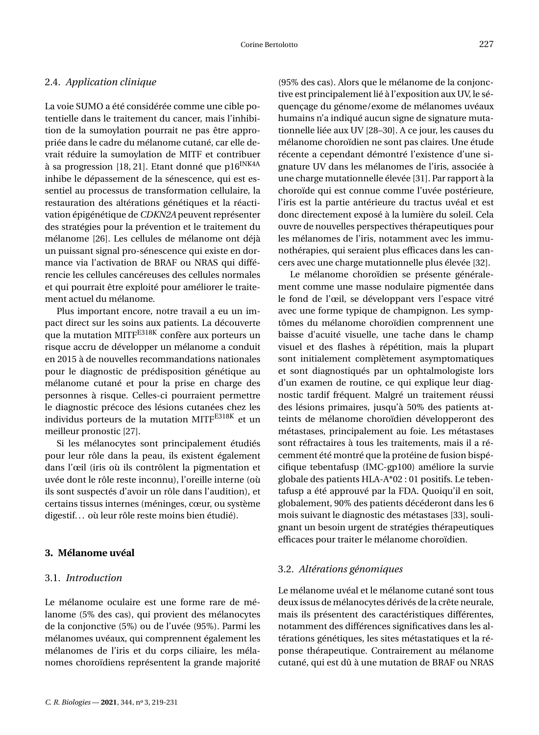#### 2.4. *Application clinique*

La voie SUMO a été considérée comme une cible potentielle dans le traitement du cancer, mais l'inhibition de la sumoylation pourrait ne pas être appropriée dans le cadre du mélanome cutané, car elle devrait réduire la sumoylation de MITF et contribuer à sa progression [\[18,](#page-12-15) [21\]](#page-12-19). Etant donné que p16<sup>INK4A</sup> inhibe le dépassement de la sénescence, qui est essentiel au processus de transformation cellulaire, la restauration des altérations génétiques et la réactivation épigénétique de *CDKN2A* peuvent représenter des stratégies pour la prévention et le traitement du mélanome [\[26\]](#page-12-24). Les cellules de mélanome ont déjà un puissant signal pro-sénescence qui existe en dormance via l'activation de BRAF ou NRAS qui différencie les cellules cancéreuses des cellules normales et qui pourrait être exploité pour améliorer le traitement actuel du mélanome.

Plus important encore, notre travail a eu un impact direct sur les soins aux patients. La découverte que la mutation MITF<sup>E318K</sup> confère aux porteurs un risque accru de développer un mélanome a conduit en 2015 à de nouvelles recommandations nationales pour le diagnostic de prédisposition génétique au mélanome cutané et pour la prise en charge des personnes à risque. Celles-ci pourraient permettre le diagnostic précoce des lésions cutanées chez les individus porteurs de la mutation MITFE318K et un meilleur pronostic [\[27\]](#page-12-25).

Si les mélanocytes sont principalement étudiés pour leur rôle dans la peau, ils existent également dans l'œil (iris où ils contrôlent la pigmentation et uvée dont le rôle reste inconnu), l'oreille interne (où ils sont suspectés d'avoir un rôle dans l'audition), et certains tissus internes (méninges, cœur, ou système digestif. . . où leur rôle reste moins bien étudié).

#### **3. Mélanome uvéal**

#### 3.1. *Introduction*

Le mélanome oculaire est une forme rare de mélanome (5% des cas), qui provient des mélanocytes de la conjonctive (5%) ou de l'uvée (95%). Parmi les mélanomes uvéaux, qui comprennent également les mélanomes de l'iris et du corps ciliaire, les mélanomes choroïdiens représentent la grande majorité (95% des cas). Alors que le mélanome de la conjonctive est principalement lié à l'exposition aux UV, le séquençage du génome/exome de mélanomes uvéaux humains n'a indiqué aucun signe de signature mutationnelle liée aux UV [\[28–](#page-12-26)[30\]](#page-13-0). A ce jour, les causes du mélanome choroïdien ne sont pas claires. Une étude récente a cependant démontré l'existence d'une signature UV dans les mélanomes de l'iris, associée à une charge mutationnelle élevée [\[31\]](#page-13-1). Par rapport à la choroïde qui est connue comme l'uvée postérieure, l'iris est la partie antérieure du tractus uvéal et est donc directement exposé à la lumière du soleil. Cela ouvre de nouvelles perspectives thérapeutiques pour les mélanomes de l'iris, notamment avec les immunothérapies, qui seraient plus efficaces dans les cancers avec une charge mutationnelle plus élevée [\[32\]](#page-13-2).

Le mélanome choroïdien se présente généralement comme une masse nodulaire pigmentée dans le fond de l'œil, se développant vers l'espace vitré avec une forme typique de champignon. Les symptômes du mélanome choroïdien comprennent une baisse d'acuité visuelle, une tache dans le champ visuel et des flashes à répétition, mais la plupart sont initialement complètement asymptomatiques et sont diagnostiqués par un ophtalmologiste lors d'un examen de routine, ce qui explique leur diagnostic tardif fréquent. Malgré un traitement réussi des lésions primaires, jusqu'à 50% des patients atteints de mélanome choroïdien développeront des métastases, principalement au foie. Les métastases sont réfractaires à tous les traitements, mais il a récemment été montré que la protéine de fusion bispécifique tebentafusp (IMC-gp100) améliore la survie globale des patients HLA-A\*02 : 01 positifs. Le tebentafusp a été approuvé par la FDA. Quoiqu'il en soit, globalement, 90% des patients décéderont dans les 6 mois suivant le diagnostic des métastases [\[33\]](#page-13-3), soulignant un besoin urgent de stratégies thérapeutiques efficaces pour traiter le mélanome choroïdien.

#### 3.2. *Altérations génomiques*

Le mélanome uvéal et le mélanome cutané sont tous deux issus de mélanocytes dérivés de la crête neurale, mais ils présentent des caractéristiques différentes, notamment des différences significatives dans les altérations génétiques, les sites métastatiques et la réponse thérapeutique. Contrairement au mélanome cutané, qui est dû à une mutation de BRAF ou NRAS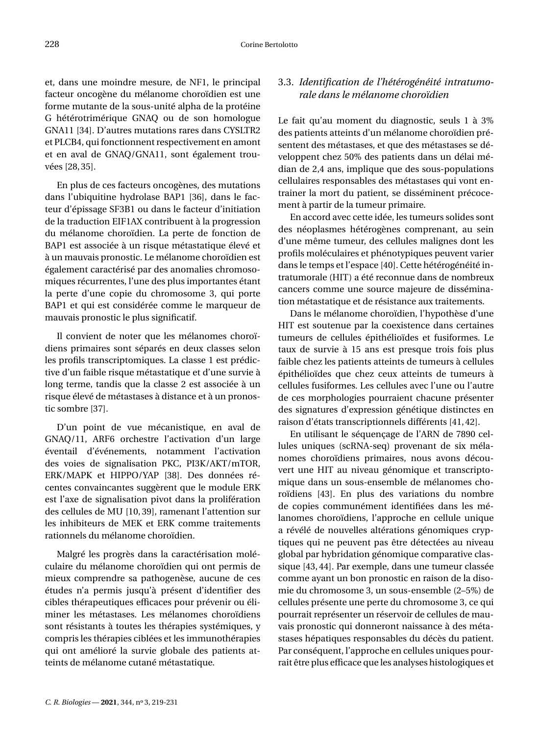et, dans une moindre mesure, de NF1, le principal facteur oncogène du mélanome choroïdien est une forme mutante de la sous-unité alpha de la protéine G hétérotrimérique GNAQ ou de son homologue GNA11 [\[34\]](#page-13-4). D'autres mutations rares dans CYSLTR2 et PLCB4, qui fonctionnent respectivement en amont et en aval de GNAQ/GNA11, sont également trouvées [\[28,](#page-12-26)[35\]](#page-13-5).

En plus de ces facteurs oncogènes, des mutations dans l'ubiquitine hydrolase BAP1 [\[36\]](#page-13-6), dans le facteur d'épissage SF3B1 ou dans le facteur d'initiation de la traduction EIF1AX contribuent à la progression du mélanome choroïdien. La perte de fonction de BAP1 est associée à un risque métastatique élevé et à un mauvais pronostic. Le mélanome choroïdien est également caractérisé par des anomalies chromosomiques récurrentes, l'une des plus importantes étant la perte d'une copie du chromosome 3, qui porte BAP1 et qui est considérée comme le marqueur de mauvais pronostic le plus significatif.

Il convient de noter que les mélanomes choroïdiens primaires sont séparés en deux classes selon les profils transcriptomiques. La classe 1 est prédictive d'un faible risque métastatique et d'une survie à long terme, tandis que la classe 2 est associée à un risque élevé de métastases à distance et à un pronostic sombre [\[37\]](#page-13-7).

D'un point de vue mécanistique, en aval de GNAQ/11, ARF6 orchestre l'activation d'un large éventail d'événements, notamment l'activation des voies de signalisation PKC, PI3K/AKT/mTOR, ERK/MAPK et HIPPO/YAP [\[38\]](#page-13-8). Des données récentes convaincantes suggèrent que le module ERK est l'axe de signalisation pivot dans la prolifération des cellules de MU [\[10,](#page-12-9) [39\]](#page-13-9), ramenant l'attention sur les inhibiteurs de MEK et ERK comme traitements rationnels du mélanome choroïdien.

Malgré les progrès dans la caractérisation moléculaire du mélanome choroïdien qui ont permis de mieux comprendre sa pathogenèse, aucune de ces études n'a permis jusqu'à présent d'identifier des cibles thérapeutiques efficaces pour prévenir ou éliminer les métastases. Les mélanomes choroïdiens sont résistants à toutes les thérapies systémiques, y compris les thérapies ciblées et les immunothérapies qui ont amélioré la survie globale des patients atteints de mélanome cutané métastatique.

#### 3.3. *Identification de l'hétérogénéité intratumorale dans le mélanome choroïdien*

Le fait qu'au moment du diagnostic, seuls 1 à 3% des patients atteints d'un mélanome choroïdien présentent des métastases, et que des métastases se développent chez 50% des patients dans un délai médian de 2,4 ans, implique que des sous-populations cellulaires responsables des métastases qui vont entrainer la mort du patient, se disséminent précocement à partir de la tumeur primaire.

En accord avec cette idée, les tumeurs solides sont des néoplasmes hétérogènes comprenant, au sein d'une même tumeur, des cellules malignes dont les profils moléculaires et phénotypiques peuvent varier dans le temps et l'espace [\[40\]](#page-13-10). Cette hétérogénéité intratumorale (HIT) a été reconnue dans de nombreux cancers comme une source majeure de dissémination métastatique et de résistance aux traitements.

Dans le mélanome choroïdien, l'hypothèse d'une HIT est soutenue par la coexistence dans certaines tumeurs de cellules épithélioïdes et fusiformes. Le taux de survie à 15 ans est presque trois fois plus faible chez les patients atteints de tumeurs à cellules épithélioïdes que chez ceux atteints de tumeurs à cellules fusiformes. Les cellules avec l'une ou l'autre de ces morphologies pourraient chacune présenter des signatures d'expression génétique distinctes en raison d'états transcriptionnels différents [\[41,](#page-13-11)[42\]](#page-13-12).

En utilisant le séquençage de l'ARN de 7890 cellules uniques (scRNA-seq) provenant de six mélanomes choroïdiens primaires, nous avons découvert une HIT au niveau génomique et transcriptomique dans un sous-ensemble de mélanomes choroïdiens [\[43\]](#page-13-13). En plus des variations du nombre de copies communément identifiées dans les mélanomes choroïdiens, l'approche en cellule unique a révélé de nouvelles altérations génomiques cryptiques qui ne peuvent pas être détectées au niveau global par hybridation génomique comparative classique [\[43,](#page-13-13) [44\]](#page-13-14). Par exemple, dans une tumeur classée comme ayant un bon pronostic en raison de la disomie du chromosome 3, un sous-ensemble (2–5%) de cellules présente une perte du chromosome 3, ce qui pourrait représenter un réservoir de cellules de mauvais pronostic qui donneront naissance à des métastases hépatiques responsables du décès du patient. Par conséquent, l'approche en cellules uniques pourrait être plus efficace que les analyses histologiques et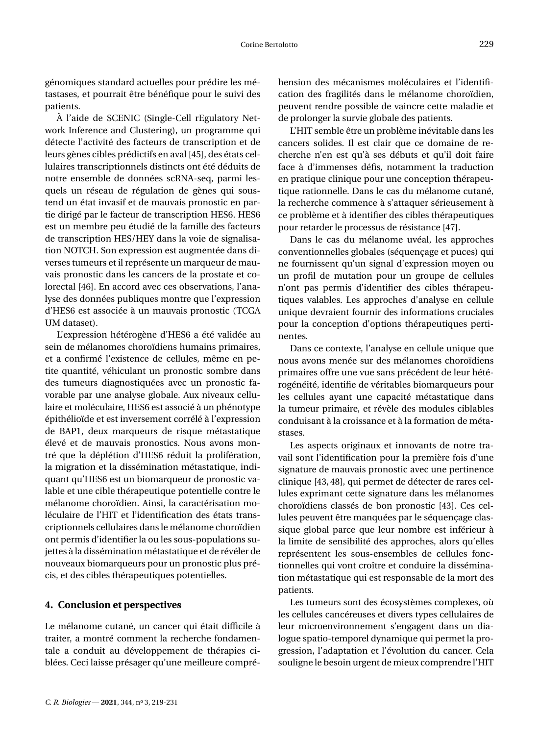génomiques standard actuelles pour prédire les métastases, et pourrait être bénéfique pour le suivi des patients.

À l'aide de SCENIC (Single-Cell rEgulatory Network Inference and Clustering), un programme qui détecte l'activité des facteurs de transcription et de leurs gènes cibles prédictifs en aval [\[45\]](#page-13-15), des états cellulaires transcriptionnels distincts ont été déduits de notre ensemble de données scRNA-seq, parmi lesquels un réseau de régulation de gènes qui soustend un état invasif et de mauvais pronostic en partie dirigé par le facteur de transcription HES6. HES6 est un membre peu étudié de la famille des facteurs de transcription HES/HEY dans la voie de signalisation NOTCH. Son expression est augmentée dans diverses tumeurs et il représente un marqueur de mauvais pronostic dans les cancers de la prostate et colorectal [\[46\]](#page-13-16). En accord avec ces observations, l'analyse des données publiques montre que l'expression d'HES6 est associée à un mauvais pronostic (TCGA UM dataset).

L'expression hétérogène d'HES6 a été validée au sein de mélanomes choroïdiens humains primaires, et a confirmé l'existence de cellules, même en petite quantité, véhiculant un pronostic sombre dans des tumeurs diagnostiquées avec un pronostic favorable par une analyse globale. Aux niveaux cellulaire et moléculaire, HES6 est associé à un phénotype épithélioïde et est inversement corrélé à l'expression de BAP1, deux marqueurs de risque métastatique élevé et de mauvais pronostics. Nous avons montré que la déplétion d'HES6 réduit la prolifération, la migration et la dissémination métastatique, indiquant qu'HES6 est un biomarqueur de pronostic valable et une cible thérapeutique potentielle contre le mélanome choroïdien. Ainsi, la caractérisation moléculaire de l'HIT et l'identification des états transcriptionnels cellulaires dans le mélanome choroïdien ont permis d'identifier la ou les sous-populations sujettes à la dissémination métastatique et de révéler de nouveaux biomarqueurs pour un pronostic plus précis, et des cibles thérapeutiques potentielles.

#### **4. Conclusion et perspectives**

Le mélanome cutané, un cancer qui était difficile à traiter, a montré comment la recherche fondamentale a conduit au développement de thérapies ciblées. Ceci laisse présager qu'une meilleure compréhension des mécanismes moléculaires et l'identification des fragilités dans le mélanome choroïdien, peuvent rendre possible de vaincre cette maladie et de prolonger la survie globale des patients.

L'HIT semble être un problème inévitable dans les cancers solides. Il est clair que ce domaine de recherche n'en est qu'à ses débuts et qu'il doit faire face à d'immenses défis, notamment la traduction en pratique clinique pour une conception thérapeutique rationnelle. Dans le cas du mélanome cutané, la recherche commence à s'attaquer sérieusement à ce problème et à identifier des cibles thérapeutiques pour retarder le processus de résistance [\[47\]](#page-13-17).

Dans le cas du mélanome uvéal, les approches conventionnelles globales (séquençage et puces) qui ne fournissent qu'un signal d'expression moyen ou un profil de mutation pour un groupe de cellules n'ont pas permis d'identifier des cibles thérapeutiques valables. Les approches d'analyse en cellule unique devraient fournir des informations cruciales pour la conception d'options thérapeutiques pertinentes.

Dans ce contexte, l'analyse en cellule unique que nous avons menée sur des mélanomes choroïdiens primaires offre une vue sans précédent de leur hétérogénéité, identifie de véritables biomarqueurs pour les cellules ayant une capacité métastatique dans la tumeur primaire, et révèle des modules ciblables conduisant à la croissance et à la formation de métastases.

Les aspects originaux et innovants de notre travail sont l'identification pour la première fois d'une signature de mauvais pronostic avec une pertinence clinique [\[43,](#page-13-13) [48\]](#page-13-18), qui permet de détecter de rares cellules exprimant cette signature dans les mélanomes choroïdiens classés de bon pronostic [\[43\]](#page-13-13). Ces cellules peuvent être manquées par le séquençage classique global parce que leur nombre est inférieur à la limite de sensibilité des approches, alors qu'elles représentent les sous-ensembles de cellules fonctionnelles qui vont croître et conduire la dissémination métastatique qui est responsable de la mort des patients.

Les tumeurs sont des écosystèmes complexes, où les cellules cancéreuses et divers types cellulaires de leur microenvironnement s'engagent dans un dialogue spatio-temporel dynamique qui permet la progression, l'adaptation et l'évolution du cancer. Cela souligne le besoin urgent de mieux comprendre l'HIT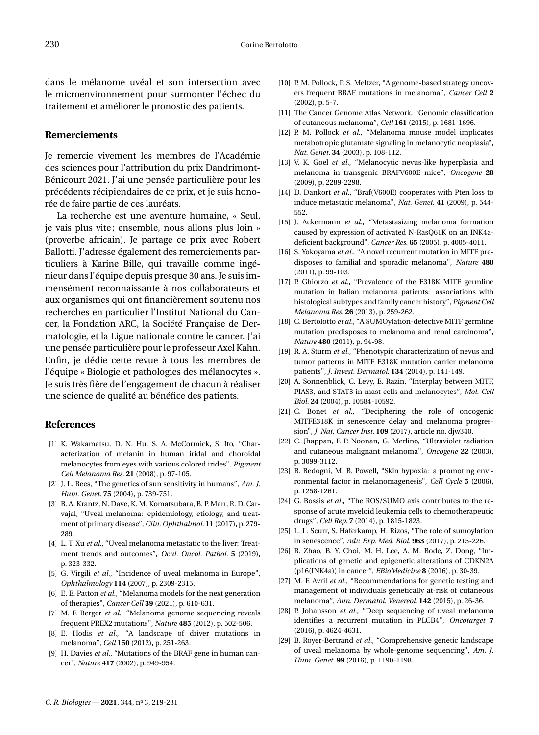dans le mélanome uvéal et son intersection avec le microenvironnement pour surmonter l'échec du traitement et améliorer le pronostic des patients.

#### **Remerciements**

Je remercie vivement les membres de l'Académie des sciences pour l'attribution du prix Dandrimont-Bénicourt 2021. J'ai une pensée particulière pour les précédents récipiendaires de ce prix, et je suis honorée de faire partie de ces lauréats.

La recherche est une aventure humaine, « Seul, je vais plus vite; ensemble, nous allons plus loin » (proverbe africain). Je partage ce prix avec Robert Ballotti. J'adresse également des remerciements particuliers à Karine Bille, qui travaille comme ingénieur dans l'équipe depuis presque 30 ans. Je suis immensément reconnaissante à nos collaborateurs et aux organismes qui ont financièrement soutenu nos recherches en particulier l'Institut National du Cancer, la Fondation ARC, la Société Française de Dermatologie, et la Ligue nationale contre le cancer. J'ai une pensée particulière pour le professeur Axel Kahn. Enfin, je dédie cette revue à tous les membres de l'équipe « Biologie et pathologies des mélanocytes ». Je suis très fière de l'engagement de chacun à réaliser une science de qualité au bénéfice des patients.

#### **References**

- <span id="page-12-0"></span>[1] K. Wakamatsu, D. N. Hu, S. A. McCormick, S. Ito, "Characterization of melanin in human iridal and choroidal melanocytes from eyes with various colored irides", *Pigment Cell Melanoma Res.* **21** (2008), p. 97-105.
- <span id="page-12-1"></span>[2] J. L. Rees, "The genetics of sun sensitivity in humans", *Am. J. Hum. Genet.* **75** (2004), p. 739-751.
- <span id="page-12-2"></span>[3] B. A. Krantz, N. Dave, K. M. Komatsubara, B. P. Marr, R. D. Carvajal, "Uveal melanoma: epidemiology, etiology, and treatment of primary disease", *Clin. Ophthalmol.* **11** (2017), p. 279- 289.
- <span id="page-12-3"></span>[4] L. T. Xu *et al.*, "Uveal melanoma metastatic to the liver: Treatment trends and outcomes", *Ocul. Oncol. Pathol.* **5** (2019), p. 323-332.
- <span id="page-12-4"></span>[5] G. Virgili *et al.*, "Incidence of uveal melanoma in Europe", *Ophthalmology* **114** (2007), p. 2309-2315.
- <span id="page-12-5"></span>[6] E. E. Patton *et al.*, "Melanoma models for the next generation of therapies", *Cancer Cell* **39** (2021), p. 610-631.
- <span id="page-12-6"></span>[7] M. F. Berger *et al.*, "Melanoma genome sequencing reveals frequent PREX2 mutations", *Nature* **485** (2012), p. 502-506.
- <span id="page-12-7"></span>[8] E. Hodis *et al.*, "A landscape of driver mutations in melanoma", *Cell* **150** (2012), p. 251-263.
- <span id="page-12-8"></span>[9] H. Davies *et al.*, "Mutations of the BRAF gene in human cancer", *Nature* **417** (2002), p. 949-954.
- <span id="page-12-9"></span>[10] P. M. Pollock, P. S. Meltzer, "A genome-based strategy uncovers frequent BRAF mutations in melanoma", *Cancer Cell* **2** (2002), p. 5-7.
- <span id="page-12-10"></span>[11] The Cancer Genome Atlas Network, "Genomic classification of cutaneous melanoma", *Cell* **161** (2015), p. 1681-1696.
- <span id="page-12-11"></span>[12] P. M. Pollock *et al.*, "Melanoma mouse model implicates metabotropic glutamate signaling in melanocytic neoplasia", *Nat. Genet.* **34** (2003), p. 108-112.
- <span id="page-12-12"></span>[13] V. K. Goel *et al.*, "Melanocytic nevus-like hyperplasia and melanoma in transgenic BRAFV600E mice", *Oncogene* **28** (2009), p. 2289-2298.
- [14] D. Dankort *et al.*, "Braf(V600E) cooperates with Pten loss to induce metastatic melanoma", *Nat. Genet.* **41** (2009), p. 544- 552.
- <span id="page-12-13"></span>[15] J. Ackermann *et al.*, "Metastasizing melanoma formation caused by expression of activated N-RasQ61K on an INK4adeficient background", *Cancer Res.* **65** (2005), p. 4005-4011.
- <span id="page-12-14"></span>[16] S. Yokoyama *et al.*, "A novel recurrent mutation in MITF predisposes to familial and sporadic melanoma", *Nature* **480** (2011), p. 99-103.
- <span id="page-12-16"></span>[17] P. Ghiorzo *et al.*, "Prevalence of the E318K MITF germline mutation in Italian melanoma patients: associations with histological subtypes and family cancer history", *Pigment Cell Melanoma Res.* **26** (2013), p. 259-262.
- <span id="page-12-15"></span>[18] C. Bertolotto *et al.*, "A SUMOylation-defective MITF germline mutation predisposes to melanoma and renal carcinoma", *Nature* **480** (2011), p. 94-98.
- <span id="page-12-17"></span>[19] R. A. Sturm *et al.*, "Phenotypic characterization of nevus and tumor patterns in MITF E318K mutation carrier melanoma patients", *J. Invest. Dermatol.* **134** (2014), p. 141-149.
- <span id="page-12-18"></span>[20] A. Sonnenblick, C. Levy, E. Razin, "Interplay between MITF, PIAS3, and STAT3 in mast cells and melanocytes", *Mol. Cell Biol.* **24** (2004), p. 10584-10592.
- <span id="page-12-19"></span>[21] C. Bonet *et al.*, "Deciphering the role of oncogenic MITFE318K in senescence delay and melanoma progression", *J. Nat. Cancer Inst.* **109** (2017), article no. djw340.
- <span id="page-12-20"></span>[22] C. Jhappan, F. P. Noonan, G. Merlino, "Ultraviolet radiation and cutaneous malignant melanoma", *Oncogene* **22** (2003), p. 3099-3112.
- <span id="page-12-21"></span>[23] B. Bedogni, M. B. Powell, "Skin hypoxia: a promoting environmental factor in melanomagenesis", *Cell Cycle* **5** (2006), p. 1258-1261.
- <span id="page-12-22"></span>[24] G. Bossis *et al.*, "The ROS/SUMO axis contributes to the response of acute myeloid leukemia cells to chemotherapeutic drugs", *Cell Rep.* **7** (2014), p. 1815-1823.
- <span id="page-12-23"></span>[25] L. L. Scurr, S. Haferkamp, H. Rizos, "The role of sumoylation in senescence", *Adv. Exp. Med. Biol.* **963** (2017), p. 215-226.
- <span id="page-12-24"></span>[26] R. Zhao, B. Y. Choi, M. H. Lee, A. M. Bode, Z. Dong, "Implications of genetic and epigenetic alterations of CDKN2A (p16(INK4a)) in cancer", *EBioMedicine* **8** (2016), p. 30-39.
- <span id="page-12-25"></span>[27] M. F. Avril *et al.*, "Recommendations for genetic testing and management of individuals genetically at-risk of cutaneous melanoma", *Ann. Dermatol. Venereol.* **142** (2015), p. 26-36.
- <span id="page-12-26"></span>[28] P. Johansson *et al.*, "Deep sequencing of uveal melanoma identifies a recurrent mutation in PLCB4", *Oncotarget* **7** (2016), p. 4624-4631.
- [29] B. Royer-Bertrand *et al.*, "Comprehensive genetic landscape of uveal melanoma by whole-genome sequencing", *Am. J. Hum. Genet.* **99** (2016), p. 1190-1198.